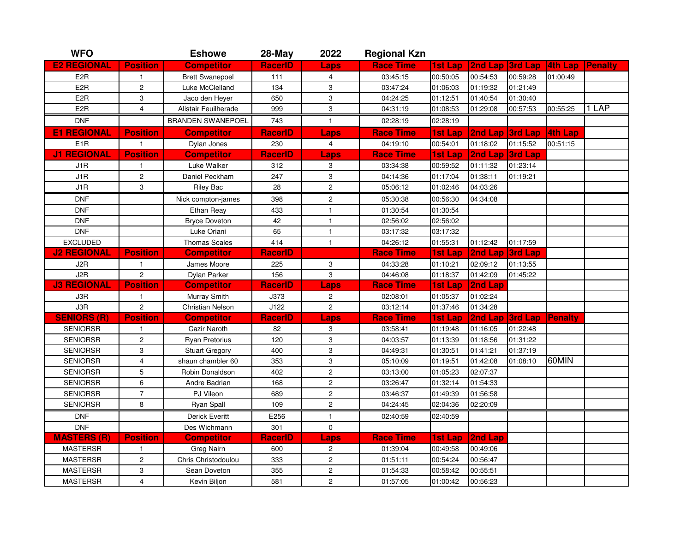| <b>WFO</b>         |                         | <b>Eshowe</b>            | 28-May         | 2022                      | <b>Regional Kzn</b> |                |          |                 |                |                |
|--------------------|-------------------------|--------------------------|----------------|---------------------------|---------------------|----------------|----------|-----------------|----------------|----------------|
| <b>E2 REGIONAL</b> | <b>Position</b>         | <b>Competitor</b>        | <b>RacerID</b> | Laps                      | <b>Race Time</b>    | 1st Lap        | 2nd Lap  | 3rd Lap         | 4th Lap        | <b>Penalty</b> |
| E <sub>2</sub> R   | $\mathbf{1}$            | <b>Brett Swanepoel</b>   | 111            | 4                         | 03:45:15            | 00:50:05       | 00:54:53 | 00:59:28        | 01:00:49       |                |
| E <sub>2</sub> R   | $\overline{c}$          | Luke McClelland          | 134            | $\ensuremath{\mathsf{3}}$ | 03:47:24            | 01:06:03       | 01:19:32 | 01:21:49        |                |                |
| E <sub>2</sub> R   | 3                       | Jaco den Heyer           | 650            | 3                         | 04:24:25            | 01:12:51       | 01:40:54 | 01:30:40        |                |                |
| E <sub>2</sub> R   | 4                       | Alistair Feuilherade     | 999            | 3                         | 04:31:19            | 01:08:53       | 01:29:08 | 00:57:53        | 00:55:25       | 1 LAP          |
| <b>DNF</b>         |                         | <b>BRANDEN SWANEPOEL</b> | 743            | $\mathbf{1}$              | 02:28:19            | 02:28:19       |          |                 |                |                |
| <b>E1 REGIONAL</b> | <b>Position</b>         | <b>Competitor</b>        | <b>RacerID</b> | Laps                      | <b>Race Time</b>    | 1st Lap        | 2nd Lap  | 3rd Lap         | <b>4th Lap</b> |                |
| E <sub>1</sub> R   | $\mathbf{1}$            | Dylan Jones              | 230            | $\overline{4}$            | 04:19:10            | 00:54:01       | 01:18:02 | 01:15:52        | 00:51:15       |                |
| <b>J1 REGIONAL</b> | <b>Position</b>         | <b>Competitor</b>        | <b>RacerID</b> | <b>Laps</b>               | <b>Race Time</b>    | 1st Lap        | 2nd Lap  | 3rd Lap         |                |                |
| J1R                | $\mathbf{1}$            | Luke Walker              | 312            | 3                         | 03:34:38            | 00:59:52       | 01:11:32 | 01:23:14        |                |                |
| J1R                | $\overline{c}$          | Daniel Peckham           | 247            | 3                         | 04:14:36            | 01:17:04       | 01:38:11 | 01:19:21        |                |                |
| J1R                | 3                       | Riley Bac                | 28             | $\overline{c}$            | 05:06:12            | 01:02:46       | 04:03:26 |                 |                |                |
| <b>DNF</b>         |                         | Nick compton-james       | 398            | 2                         | 05:30:38            | 00:56:30       | 04:34:08 |                 |                |                |
| <b>DNF</b>         |                         | Ethan Reay               | 433            | $\mathbf{1}$              | 01:30:54            | 01:30:54       |          |                 |                |                |
| <b>DNF</b>         |                         | <b>Bryce Doveton</b>     | 42             | $\mathbf{1}$              | 02:56:02            | 02:56:02       |          |                 |                |                |
| <b>DNF</b>         |                         | Luke Oriani              | 65             | $\mathbf{1}$              | 03:17:32            | 03:17:32       |          |                 |                |                |
| <b>EXCLUDED</b>    |                         | Thomas Scales            | 414            | $\mathbf{1}$              | 04:26:12            | 01:55:31       | 01:12:42 | 01:17:59        |                |                |
| <b>J2 REGIONAL</b> | <b>Position</b>         | <b>Competitor</b>        | <b>RacerID</b> |                           | <b>Race Time</b>    | <b>1st Lap</b> | 2nd Lap  | 3rd Lap         |                |                |
| J2R                | $\mathbf{1}$            | James Moore              | 225            | 3                         | 04:33:28            | 01:10:21       | 02:09:12 | 01:13:55        |                |                |
| J2R                | $\overline{c}$          | Dylan Parker             | 156            | 3                         | 04:46:08            | 01:18:37       | 01:42:09 | 01:45:22        |                |                |
| <b>J3 REGIONAL</b> | <b>Position</b>         | <b>Competitor</b>        | <b>RacerID</b> | <b>Laps</b>               | <b>Race Time</b>    | <b>1st Lap</b> | 2nd Lap  |                 |                |                |
| J3R                | 1                       | Murray Smith             | J373           | $\boldsymbol{2}$          | 02:08:01            | 01:05:37       | 01:02:24 |                 |                |                |
| J3R                | $\overline{c}$          | Christian Nelson         | J122           | $\overline{c}$            | 03:12:14            | 01:37:46       | 01:34:28 |                 |                |                |
| <b>SENIORS (R)</b> | <b>Position</b>         | <b>Competitor</b>        | <b>RacerID</b> | <b>Laps</b>               | <b>Race Time</b>    | 1st Lap        |          | 2nd Lap 3rd Lap | Penalty        |                |
| <b>SENIORSR</b>    | $\mathbf{1}$            | Cazir Naroth             | 82             | 3                         | 03:58:41            | 01:19:48       | 01:16:05 | 01:22:48        |                |                |
| <b>SENIORSR</b>    | $\overline{c}$          | Ryan Pretorius           | 120            | 3                         | 04:03:57            | 01:13:39       | 01:18:56 | 01:31:22        |                |                |
| <b>SENIORSR</b>    | 3                       | <b>Stuart Gregory</b>    | 400            | 3                         | 04:49:31            | 01:30:51       | 01:41:21 | 01:37:19        |                |                |
| <b>SENIORSR</b>    | 4                       | shaun chambler 60        | 353            | 3                         | 05:10:09            | 01:19:51       | 01:42:08 | 01:08:10        | 60MIN          |                |
| <b>SENIORSR</b>    | 5                       | Robin Donaldson          | 402            | $\overline{c}$            | 03:13:00            | 01:05:23       | 02:07:37 |                 |                |                |
| <b>SENIORSR</b>    | 6                       | Andre Badrian            | 168            | $\overline{c}$            | 03:26:47            | 01:32:14       | 01:54:33 |                 |                |                |
| <b>SENIORSR</b>    | $\overline{7}$          | PJ Vileon                | 689            | $\overline{c}$            | 03:46:37            | 01:49:39       | 01:56:58 |                 |                |                |
| <b>SENIORSR</b>    | 8                       | <b>Ryan Spall</b>        | 109            | $\mathbf{2}$              | 04:24:45            | 02:04:36       | 02:20:09 |                 |                |                |
| <b>DNF</b>         |                         | Derick Everitt           | E256           | $\mathbf{1}$              | 02:40:59            | 02:40:59       |          |                 |                |                |
| <b>DNF</b>         |                         | Des Wichmann             | 301            | $\mathbf 0$               |                     |                |          |                 |                |                |
| <b>MASTERS (R)</b> | <b>Position</b>         | <b>Competitor</b>        | <b>RacerID</b> | Laps                      | <b>Race Time</b>    | <b>1st Lap</b> | 2nd Lap  |                 |                |                |
| <b>MASTERSR</b>    | $\mathbf{1}$            | Greg Nairn               | 600            | $\overline{c}$            | 01:39:04            | 00:49:58       | 00:49:06 |                 |                |                |
| <b>MASTERSR</b>    | 2                       | Chris Christodoulou      | 333            | $\overline{c}$            | 01:51:11            | 00:54:24       | 00:56:47 |                 |                |                |
| <b>MASTERSR</b>    | 3                       | Sean Doveton             | 355            | $\overline{\mathbf{c}}$   | 01:54:33            | 00:58:42       | 00:55:51 |                 |                |                |
| <b>MASTERSR</b>    | $\overline{\mathbf{4}}$ | Kevin Biljon             | 581            | $\overline{c}$            | 01:57:05            | 01:00:42       | 00:56:23 |                 |                |                |